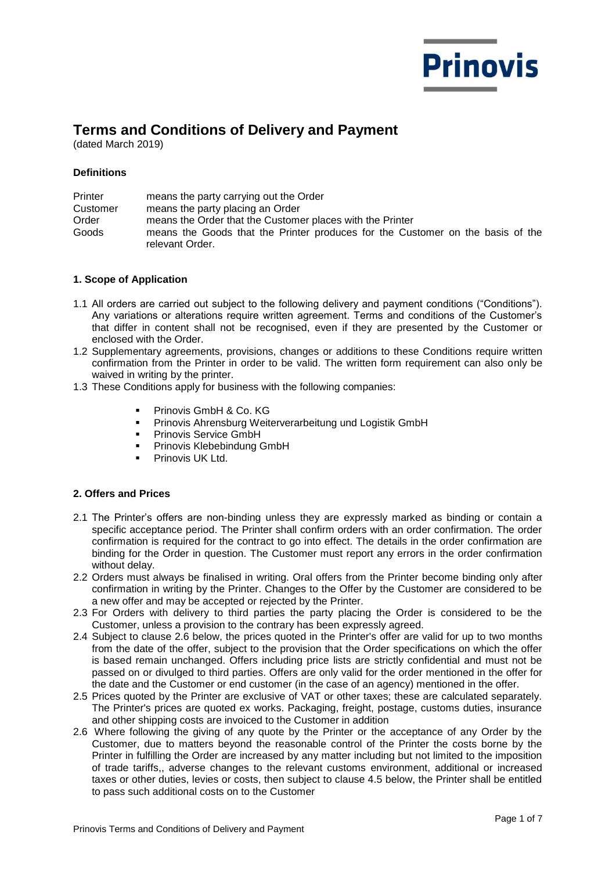

# **Terms and Conditions of Delivery and Payment**

(dated March 2019)

# **Definitions**

| Printer  | means the party carrying out the Order                                         |
|----------|--------------------------------------------------------------------------------|
| Customer | means the party placing an Order                                               |
| Order    | means the Order that the Customer places with the Printer                      |
| Goods    | means the Goods that the Printer produces for the Customer on the basis of the |
|          | relevant Order.                                                                |

## **1. Scope of Application**

- 1.1 All orders are carried out subject to the following delivery and payment conditions ("Conditions"). Any variations or alterations require written agreement. Terms and conditions of the Customer's that differ in content shall not be recognised, even if they are presented by the Customer or enclosed with the Order.
- 1.2 Supplementary agreements, provisions, changes or additions to these Conditions require written confirmation from the Printer in order to be valid. The written form requirement can also only be waived in writing by the printer.
- 1.3 These Conditions apply for business with the following companies:
	- Prinovis GmbH & Co. KG
	- **Prinovis Ahrensburg Weiterverarbeitung und Logistik GmbH**
	- **Prinovis Service GmbH**
	- Prinovis Klebebindung GmbH
	- Prinovis UK Ltd.

# **2. Offers and Prices**

- 2.1 The Printer's offers are non-binding unless they are expressly marked as binding or contain a specific acceptance period. The Printer shall confirm orders with an order confirmation. The order confirmation is required for the contract to go into effect. The details in the order confirmation are binding for the Order in question. The Customer must report any errors in the order confirmation without delay.
- 2.2 Orders must always be finalised in writing. Oral offers from the Printer become binding only after confirmation in writing by the Printer. Changes to the Offer by the Customer are considered to be a new offer and may be accepted or rejected by the Printer.
- 2.3 For Orders with delivery to third parties the party placing the Order is considered to be the Customer, unless a provision to the contrary has been expressly agreed.
- 2.4 Subject to clause 2.6 below, the prices quoted in the Printer's offer are valid for up to two months from the date of the offer, subject to the provision that the Order specifications on which the offer is based remain unchanged. Offers including price lists are strictly confidential and must not be passed on or divulged to third parties. Offers are only valid for the order mentioned in the offer for the date and the Customer or end customer (in the case of an agency) mentioned in the offer.
- 2.5 Prices quoted by the Printer are exclusive of VAT or other taxes; these are calculated separately. The Printer's prices are quoted ex works. Packaging, freight, postage, customs duties, insurance and other shipping costs are invoiced to the Customer in addition
- 2.6 Where following the giving of any quote by the Printer or the acceptance of any Order by the Customer, due to matters beyond the reasonable control of the Printer the costs borne by the Printer in fulfilling the Order are increased by any matter including but not limited to the imposition of trade tariffs,, adverse changes to the relevant customs environment, additional or increased taxes or other duties, levies or costs, then subject to clause 4.5 below, the Printer shall be entitled to pass such additional costs on to the Customer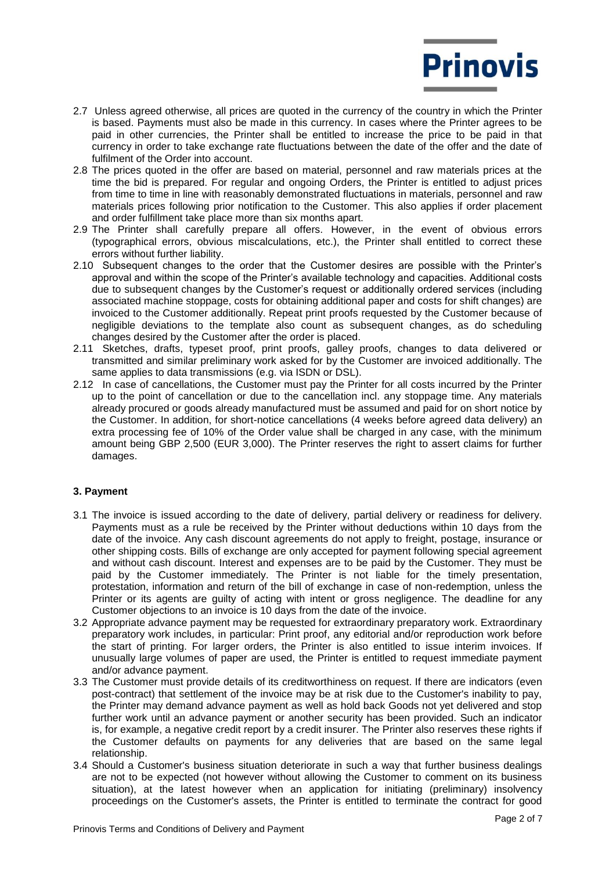

- 2.7 Unless agreed otherwise, all prices are quoted in the currency of the country in which the Printer is based. Payments must also be made in this currency. In cases where the Printer agrees to be paid in other currencies, the Printer shall be entitled to increase the price to be paid in that currency in order to take exchange rate fluctuations between the date of the offer and the date of fulfilment of the Order into account.
- 2.8 The prices quoted in the offer are based on material, personnel and raw materials prices at the time the bid is prepared. For regular and ongoing Orders, the Printer is entitled to adjust prices from time to time in line with reasonably demonstrated fluctuations in materials, personnel and raw materials prices following prior notification to the Customer. This also applies if order placement and order fulfillment take place more than six months apart.
- 2.9 The Printer shall carefully prepare all offers. However, in the event of obvious errors (typographical errors, obvious miscalculations, etc.), the Printer shall entitled to correct these errors without further liability.
- 2.10 Subsequent changes to the order that the Customer desires are possible with the Printer's approval and within the scope of the Printer's available technology and capacities. Additional costs due to subsequent changes by the Customer's request or additionally ordered services (including associated machine stoppage, costs for obtaining additional paper and costs for shift changes) are invoiced to the Customer additionally. Repeat print proofs requested by the Customer because of negligible deviations to the template also count as subsequent changes, as do scheduling changes desired by the Customer after the order is placed.
- 2.11 Sketches, drafts, typeset proof, print proofs, galley proofs, changes to data delivered or transmitted and similar preliminary work asked for by the Customer are invoiced additionally. The same applies to data transmissions (e.g. via ISDN or DSL).
- 2.12 In case of cancellations, the Customer must pay the Printer for all costs incurred by the Printer up to the point of cancellation or due to the cancellation incl. any stoppage time. Any materials already procured or goods already manufactured must be assumed and paid for on short notice by the Customer. In addition, for short-notice cancellations (4 weeks before agreed data delivery) an extra processing fee of 10% of the Order value shall be charged in any case, with the minimum amount being GBP 2,500 (EUR 3,000). The Printer reserves the right to assert claims for further damages.

#### **3. Payment**

- 3.1 The invoice is issued according to the date of delivery, partial delivery or readiness for delivery. Payments must as a rule be received by the Printer without deductions within 10 days from the date of the invoice. Any cash discount agreements do not apply to freight, postage, insurance or other shipping costs. Bills of exchange are only accepted for payment following special agreement and without cash discount. Interest and expenses are to be paid by the Customer. They must be paid by the Customer immediately. The Printer is not liable for the timely presentation, protestation, information and return of the bill of exchange in case of non-redemption, unless the Printer or its agents are guilty of acting with intent or gross negligence. The deadline for any Customer objections to an invoice is 10 days from the date of the invoice.
- 3.2 Appropriate advance payment may be requested for extraordinary preparatory work. Extraordinary preparatory work includes, in particular: Print proof, any editorial and/or reproduction work before the start of printing. For larger orders, the Printer is also entitled to issue interim invoices. If unusually large volumes of paper are used, the Printer is entitled to request immediate payment and/or advance payment.
- 3.3 The Customer must provide details of its creditworthiness on request. If there are indicators (even post-contract) that settlement of the invoice may be at risk due to the Customer's inability to pay, the Printer may demand advance payment as well as hold back Goods not yet delivered and stop further work until an advance payment or another security has been provided. Such an indicator is, for example, a negative credit report by a credit insurer. The Printer also reserves these rights if the Customer defaults on payments for any deliveries that are based on the same legal relationship.
- 3.4 Should a Customer's business situation deteriorate in such a way that further business dealings are not to be expected (not however without allowing the Customer to comment on its business situation), at the latest however when an application for initiating (preliminary) insolvency proceedings on the Customer's assets, the Printer is entitled to terminate the contract for good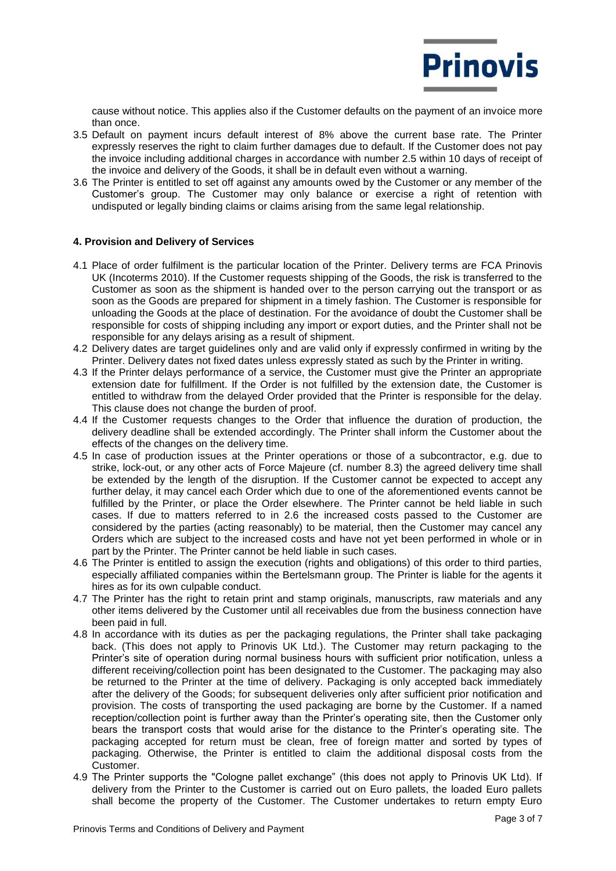

cause without notice. This applies also if the Customer defaults on the payment of an invoice more than once.

- 3.5 Default on payment incurs default interest of 8% above the current base rate. The Printer expressly reserves the right to claim further damages due to default. If the Customer does not pay the invoice including additional charges in accordance with number 2.5 within 10 days of receipt of the invoice and delivery of the Goods, it shall be in default even without a warning.
- 3.6 The Printer is entitled to set off against any amounts owed by the Customer or any member of the Customer's group. The Customer may only balance or exercise a right of retention with undisputed or legally binding claims or claims arising from the same legal relationship.

#### **4. Provision and Delivery of Services**

- 4.1 Place of order fulfilment is the particular location of the Printer. Delivery terms are FCA Prinovis UK (Incoterms 2010). If the Customer requests shipping of the Goods, the risk is transferred to the Customer as soon as the shipment is handed over to the person carrying out the transport or as soon as the Goods are prepared for shipment in a timely fashion. The Customer is responsible for unloading the Goods at the place of destination. For the avoidance of doubt the Customer shall be responsible for costs of shipping including any import or export duties, and the Printer shall not be responsible for any delays arising as a result of shipment.
- 4.2 Delivery dates are target guidelines only and are valid only if expressly confirmed in writing by the Printer. Delivery dates not fixed dates unless expressly stated as such by the Printer in writing.
- 4.3 If the Printer delays performance of a service, the Customer must give the Printer an appropriate extension date for fulfillment. If the Order is not fulfilled by the extension date, the Customer is entitled to withdraw from the delayed Order provided that the Printer is responsible for the delay. This clause does not change the burden of proof.
- 4.4 If the Customer requests changes to the Order that influence the duration of production, the delivery deadline shall be extended accordingly. The Printer shall inform the Customer about the effects of the changes on the delivery time.
- 4.5 In case of production issues at the Printer operations or those of a subcontractor, e.g. due to strike, lock-out, or any other acts of Force Majeure (cf. number 8.3) the agreed delivery time shall be extended by the length of the disruption. If the Customer cannot be expected to accept any further delay, it may cancel each Order which due to one of the aforementioned events cannot be fulfilled by the Printer, or place the Order elsewhere. The Printer cannot be held liable in such cases. If due to matters referred to in 2.6 the increased costs passed to the Customer are considered by the parties (acting reasonably) to be material, then the Customer may cancel any Orders which are subject to the increased costs and have not yet been performed in whole or in part by the Printer. The Printer cannot be held liable in such cases.
- 4.6 The Printer is entitled to assign the execution (rights and obligations) of this order to third parties, especially affiliated companies within the Bertelsmann group. The Printer is liable for the agents it hires as for its own culpable conduct.
- 4.7 The Printer has the right to retain print and stamp originals, manuscripts, raw materials and any other items delivered by the Customer until all receivables due from the business connection have been paid in full.
- 4.8 In accordance with its duties as per the packaging regulations, the Printer shall take packaging back. (This does not apply to Prinovis UK Ltd.). The Customer may return packaging to the Printer's site of operation during normal business hours with sufficient prior notification, unless a different receiving/collection point has been designated to the Customer. The packaging may also be returned to the Printer at the time of delivery. Packaging is only accepted back immediately after the delivery of the Goods; for subsequent deliveries only after sufficient prior notification and provision. The costs of transporting the used packaging are borne by the Customer. If a named reception/collection point is further away than the Printer's operating site, then the Customer only bears the transport costs that would arise for the distance to the Printer's operating site. The packaging accepted for return must be clean, free of foreign matter and sorted by types of packaging. Otherwise, the Printer is entitled to claim the additional disposal costs from the Customer.
- 4.9 The Printer supports the "Cologne pallet exchange" (this does not apply to Prinovis UK Ltd). If delivery from the Printer to the Customer is carried out on Euro pallets, the loaded Euro pallets shall become the property of the Customer. The Customer undertakes to return empty Euro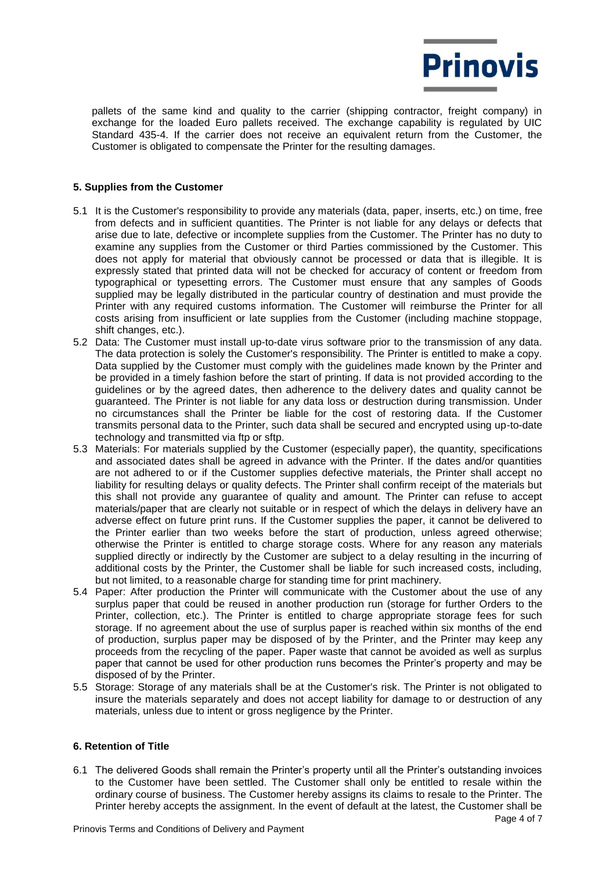

pallets of the same kind and quality to the carrier (shipping contractor, freight company) in exchange for the loaded Euro pallets received. The exchange capability is regulated by UIC Standard 435-4. If the carrier does not receive an equivalent return from the Customer, the Customer is obligated to compensate the Printer for the resulting damages.

## **5. Supplies from the Customer**

- 5.1 It is the Customer's responsibility to provide any materials (data, paper, inserts, etc.) on time, free from defects and in sufficient quantities. The Printer is not liable for any delays or defects that arise due to late, defective or incomplete supplies from the Customer. The Printer has no duty to examine any supplies from the Customer or third Parties commissioned by the Customer. This does not apply for material that obviously cannot be processed or data that is illegible. It is expressly stated that printed data will not be checked for accuracy of content or freedom from typographical or typesetting errors. The Customer must ensure that any samples of Goods supplied may be legally distributed in the particular country of destination and must provide the Printer with any required customs information. The Customer will reimburse the Printer for all costs arising from insufficient or late supplies from the Customer (including machine stoppage, shift changes, etc.).
- 5.2 Data: The Customer must install up-to-date virus software prior to the transmission of any data. The data protection is solely the Customer's responsibility. The Printer is entitled to make a copy. Data supplied by the Customer must comply with the guidelines made known by the Printer and be provided in a timely fashion before the start of printing. If data is not provided according to the guidelines or by the agreed dates, then adherence to the delivery dates and quality cannot be guaranteed. The Printer is not liable for any data loss or destruction during transmission. Under no circumstances shall the Printer be liable for the cost of restoring data. If the Customer transmits personal data to the Printer, such data shall be secured and encrypted using up-to-date technology and transmitted via ftp or sftp.
- 5.3 Materials: For materials supplied by the Customer (especially paper), the quantity, specifications and associated dates shall be agreed in advance with the Printer. If the dates and/or quantities are not adhered to or if the Customer supplies defective materials, the Printer shall accept no liability for resulting delays or quality defects. The Printer shall confirm receipt of the materials but this shall not provide any guarantee of quality and amount. The Printer can refuse to accept materials/paper that are clearly not suitable or in respect of which the delays in delivery have an adverse effect on future print runs. If the Customer supplies the paper, it cannot be delivered to the Printer earlier than two weeks before the start of production, unless agreed otherwise; otherwise the Printer is entitled to charge storage costs. Where for any reason any materials supplied directly or indirectly by the Customer are subject to a delay resulting in the incurring of additional costs by the Printer, the Customer shall be liable for such increased costs, including, but not limited, to a reasonable charge for standing time for print machinery.
- 5.4 Paper: After production the Printer will communicate with the Customer about the use of any surplus paper that could be reused in another production run (storage for further Orders to the Printer, collection, etc.). The Printer is entitled to charge appropriate storage fees for such storage. If no agreement about the use of surplus paper is reached within six months of the end of production, surplus paper may be disposed of by the Printer, and the Printer may keep any proceeds from the recycling of the paper. Paper waste that cannot be avoided as well as surplus paper that cannot be used for other production runs becomes the Printer's property and may be disposed of by the Printer.
- 5.5 Storage: Storage of any materials shall be at the Customer's risk. The Printer is not obligated to insure the materials separately and does not accept liability for damage to or destruction of any materials, unless due to intent or gross negligence by the Printer.

#### **6. Retention of Title**

6.1 The delivered Goods shall remain the Printer's property until all the Printer's outstanding invoices to the Customer have been settled. The Customer shall only be entitled to resale within the ordinary course of business. The Customer hereby assigns its claims to resale to the Printer. The Printer hereby accepts the assignment. In the event of default at the latest, the Customer shall be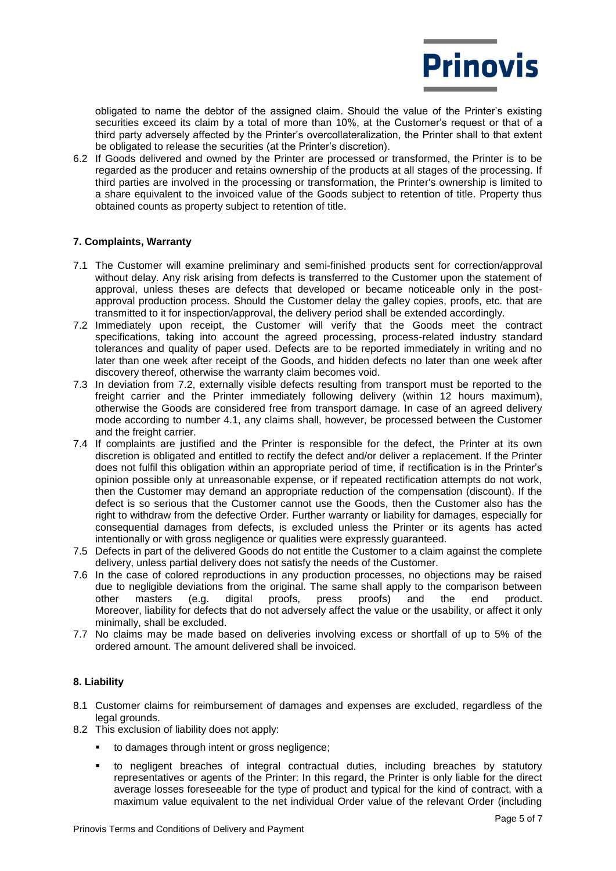

obligated to name the debtor of the assigned claim. Should the value of the Printer's existing securities exceed its claim by a total of more than 10%, at the Customer's request or that of a third party adversely affected by the Printer's overcollateralization, the Printer shall to that extent be obligated to release the securities (at the Printer's discretion).

6.2 If Goods delivered and owned by the Printer are processed or transformed, the Printer is to be regarded as the producer and retains ownership of the products at all stages of the processing. If third parties are involved in the processing or transformation, the Printer's ownership is limited to a share equivalent to the invoiced value of the Goods subject to retention of title. Property thus obtained counts as property subject to retention of title.

#### **7. Complaints, Warranty**

- 7.1 The Customer will examine preliminary and semi-finished products sent for correction/approval without delay. Any risk arising from defects is transferred to the Customer upon the statement of approval, unless theses are defects that developed or became noticeable only in the postapproval production process. Should the Customer delay the galley copies, proofs, etc. that are transmitted to it for inspection/approval, the delivery period shall be extended accordingly.
- 7.2 Immediately upon receipt, the Customer will verify that the Goods meet the contract specifications, taking into account the agreed processing, process-related industry standard tolerances and quality of paper used. Defects are to be reported immediately in writing and no later than one week after receipt of the Goods, and hidden defects no later than one week after discovery thereof, otherwise the warranty claim becomes void.
- 7.3 In deviation from 7.2, externally visible defects resulting from transport must be reported to the freight carrier and the Printer immediately following delivery (within 12 hours maximum), otherwise the Goods are considered free from transport damage. In case of an agreed delivery mode according to number 4.1, any claims shall, however, be processed between the Customer and the freight carrier.
- 7.4 If complaints are justified and the Printer is responsible for the defect, the Printer at its own discretion is obligated and entitled to rectify the defect and/or deliver a replacement. If the Printer does not fulfil this obligation within an appropriate period of time, if rectification is in the Printer's opinion possible only at unreasonable expense, or if repeated rectification attempts do not work, then the Customer may demand an appropriate reduction of the compensation (discount). If the defect is so serious that the Customer cannot use the Goods, then the Customer also has the right to withdraw from the defective Order. Further warranty or liability for damages, especially for consequential damages from defects, is excluded unless the Printer or its agents has acted intentionally or with gross negligence or qualities were expressly guaranteed.
- 7.5 Defects in part of the delivered Goods do not entitle the Customer to a claim against the complete delivery, unless partial delivery does not satisfy the needs of the Customer.
- 7.6 In the case of colored reproductions in any production processes, no objections may be raised due to negligible deviations from the original. The same shall apply to the comparison between other masters (e.g. digital proofs, press proofs) and the end product. Moreover, liability for defects that do not adversely affect the value or the usability, or affect it only minimally, shall be excluded.
- 7.7 No claims may be made based on deliveries involving excess or shortfall of up to 5% of the ordered amount. The amount delivered shall be invoiced.

#### **8. Liability**

- 8.1 Customer claims for reimbursement of damages and expenses are excluded, regardless of the legal grounds.
- 8.2 This exclusion of liability does not apply:
	- **to damages through intent or gross negligence;**
	- to negligent breaches of integral contractual duties, including breaches by statutory representatives or agents of the Printer: In this regard, the Printer is only liable for the direct average losses foreseeable for the type of product and typical for the kind of contract, with a maximum value equivalent to the net individual Order value of the relevant Order (including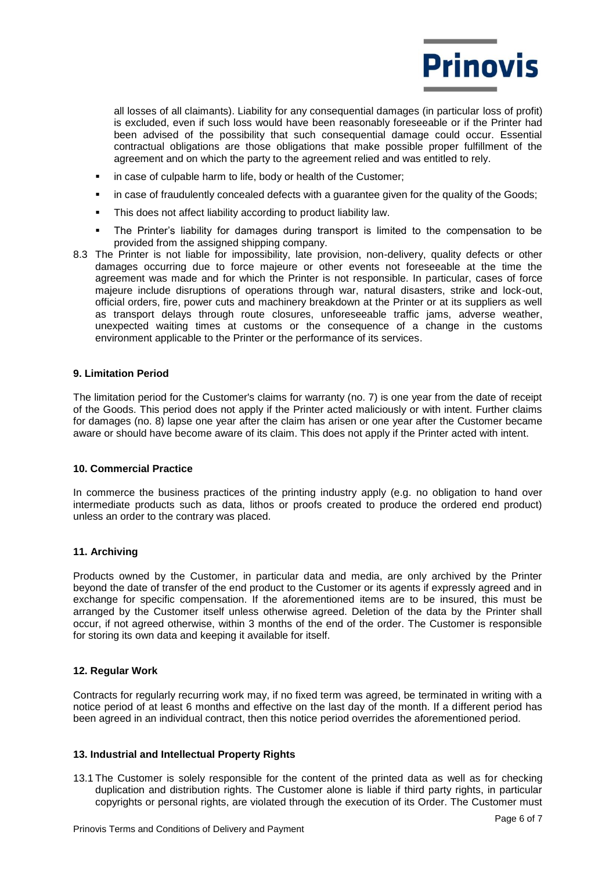

all losses of all claimants). Liability for any consequential damages (in particular loss of profit) is excluded, even if such loss would have been reasonably foreseeable or if the Printer had been advised of the possibility that such consequential damage could occur. Essential contractual obligations are those obligations that make possible proper fulfillment of the agreement and on which the party to the agreement relied and was entitled to rely.

- in case of culpable harm to life, body or health of the Customer;
- in case of fraudulently concealed defects with a guarantee given for the quality of the Goods;
- This does not affect liability according to product liability law.
- The Printer's liability for damages during transport is limited to the compensation to be provided from the assigned shipping company.
- 8.3 The Printer is not liable for impossibility, late provision, non-delivery, quality defects or other damages occurring due to force majeure or other events not foreseeable at the time the agreement was made and for which the Printer is not responsible. In particular, cases of force majeure include disruptions of operations through war, natural disasters, strike and lock-out, official orders, fire, power cuts and machinery breakdown at the Printer or at its suppliers as well as transport delays through route closures, unforeseeable traffic jams, adverse weather, unexpected waiting times at customs or the consequence of a change in the customs environment applicable to the Printer or the performance of its services.

#### **9. Limitation Period**

The limitation period for the Customer's claims for warranty (no. 7) is one year from the date of receipt of the Goods. This period does not apply if the Printer acted maliciously or with intent. Further claims for damages (no. 8) lapse one year after the claim has arisen or one year after the Customer became aware or should have become aware of its claim. This does not apply if the Printer acted with intent.

#### **10. Commercial Practice**

In commerce the business practices of the printing industry apply (e.g. no obligation to hand over intermediate products such as data, lithos or proofs created to produce the ordered end product) unless an order to the contrary was placed.

#### **11. Archiving**

Products owned by the Customer, in particular data and media, are only archived by the Printer beyond the date of transfer of the end product to the Customer or its agents if expressly agreed and in exchange for specific compensation. If the aforementioned items are to be insured, this must be arranged by the Customer itself unless otherwise agreed. Deletion of the data by the Printer shall occur, if not agreed otherwise, within 3 months of the end of the order. The Customer is responsible for storing its own data and keeping it available for itself.

#### **12. Regular Work**

Contracts for regularly recurring work may, if no fixed term was agreed, be terminated in writing with a notice period of at least 6 months and effective on the last day of the month. If a different period has been agreed in an individual contract, then this notice period overrides the aforementioned period.

#### **13. Industrial and Intellectual Property Rights**

13.1 The Customer is solely responsible for the content of the printed data as well as for checking duplication and distribution rights. The Customer alone is liable if third party rights, in particular copyrights or personal rights, are violated through the execution of its Order. The Customer must